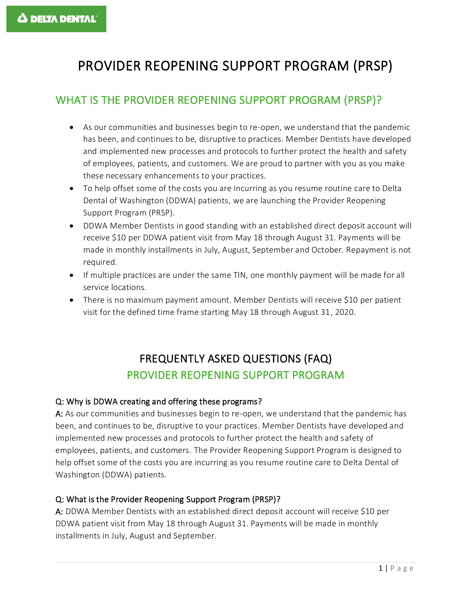# PROVIDER REOPENING SUPPORT PROGRAM (PRSP)

### WHAT IS THE PROVIDER REOPENING SUPPORT PROGRAM (PRSP)?

- As our communities and businesses begin to re-open, we understand that the pandemic has been, and continues to be, disruptive to practices. Member Dentists have developed and implemented new processes and protocols to further protect the health and safety of employees, patients, and customers. We are proud to partner with you as you make these necessary enhancements to your practices.
- To help offset some of the costs you are incurring as you resume routine care to Delta Dental of Washington (DDWA) patients, we are launching the Provider Reopening Support Program (PRSP).
- DDWA Member Dentists in good standing with an established direct deposit account will receive \$10 per DDWA patient visit from May 18 through August 31. Payments will be made in monthly installments in July, August, September and October. Repayment is not required.
- If multiple practices are under the same TIN, one monthly payment will be made for all service locations.
- There is no maximum payment amount. Member Dentists will receive \$10 per patient visit for the defined time frame starting May 18 through August 31, 2020.

## FREQUENTLY ASKED QUESTIONS (FAQ) PROVIDER REOPENING SUPPORT PROGRAM

#### Q: Why is DDWA creating and offering these programs?

A: As our communities and businesses begin to re-open, we understand that the pandemic has been, and continues to be, disruptive to your practices. Member Dentists have developed and implemented new processes and protocols to further protect the health and safety of employees, patients, and customers. The Provider Reopening Support Program is designed to help offset some of the costs you are incurring as you resume routine care to Delta Dental of Washington (DDWA) patients.

#### Q: What is the Provider Reopening Support Program (PRSP)?

A: DDWA Member Dentists with an established direct deposit account will receive \$10 per DDWA patient visit from May 18 through August 31. Payments will be made in monthly installments in July, August and September.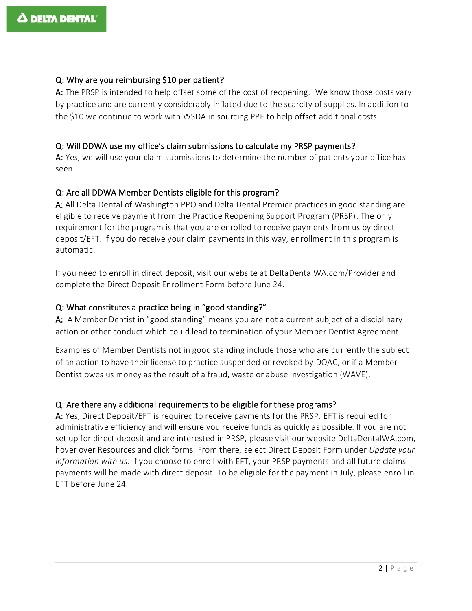#### Q: Why are you reimbursing \$10 per patient?

A: The PRSP is intended to help offset some of the cost of reopening. We know those costs vary by practice and are currently considerably inflated due to the scarcity of supplies. In addition to the \$10 we continue to work with WSDA in sourcing PPE to help offset additional costs.

#### Q: Will DDWA use my office's claim submissions to calculate my PRSP payments?

A: Yes, we will use your claim submissions to determine the number of patients your office has seen.

#### Q: Are all DDWA Member Dentists eligible for this program?

A: All Delta Dental of Washington PPO and Delta Dental Premier practices in good standing are eligible to receive payment from the Practice Reopening Support Program (PRSP). The only requirement for the program is that you are enrolled to receive payments from us by direct deposit/EFT. If you do receive your claim payments in this way, enrollment in this program is automatic.

If you need to enroll in direct deposit, visit our website at DeltaDentalWA.com/Provider and complete the Direct Deposit Enrollment Form before June 24.

#### Q: What constitutes a practice being in "good standing?"

A: A Member Dentist in "good standing" means you are not a current subject of a disciplinary action or other conduct which could lead to termination of your Member Dentist Agreement.

Examples of Member Dentists not in good standing include those who are currently the subject of an action to have their license to practice suspended or revoked by DQAC, or if a Member Dentist owes us money as the result of a fraud, waste or abuse investigation (WAVE).

#### Q: Are there any additional requirements to be eligible for these programs?

A: Yes, Direct Deposit/EFT is required to receive payments for the PRSP. EFT is required for administrative efficiency and will ensure you receive funds as quickly as possible. If you are not set up for direct deposit and are interested in PRSP, please visit our website DeltaDentalWA.com, hover over Resources and click forms. From there, select Direct Deposit Form under *Update your information with us.* If you choose to enroll with EFT, your PRSP payments and all future claims payments will be made with direct deposit. To be eligible for the payment in July, please enroll in EFT before June 24.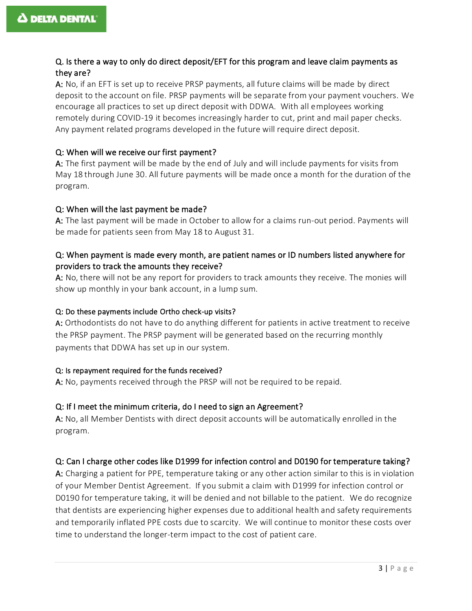#### Q. Is there a way to only do direct deposit/EFT for this program and leave claim payments as they are?

A: No, if an EFT is set up to receive PRSP payments, all future claims will be made by direct deposit to the account on file. PRSP payments will be separate from your payment vouchers. We encourage all practices to set up direct deposit with DDWA. With all employees working remotely during COVID-19 it becomes increasingly harder to cut, print and mail paper checks. Any payment related programs developed in the future will require direct deposit.

#### Q: When will we receive our first payment?

A: The first payment will be made by the end of July and will include payments for visits from May 18 through June 30. All future payments will be made once a month for the duration of the program.

#### Q: When will the last payment be made?

A: The last payment will be made in October to allow for a claims run-out period. Payments will be made for patients seen from May 18 to August 31.

#### Q: When payment is made every month, are patient names or ID numbers listed anywhere for providers to track the amounts they receive?

A: No, there will not be any report for providers to track amounts they receive. The monies will show up monthly in your bank account, in a lump sum.

#### Q: Do these payments include Ortho check-up visits?

A: Orthodontists do not have to do anything different for patients in active treatment to receive the PRSP payment. The PRSP payment will be generated based on the recurring monthly payments that DDWA has set up in our system.

#### Q: Is repayment required for the funds received?

A: No, payments received through the PRSP will not be required to be repaid.

#### Q: If I meet the minimum criteria, do I need to sign an Agreement?

A: No, all Member Dentists with direct deposit accounts will be automatically enrolled in the program.

#### Q: Can I charge other codes like D1999 for infection control and D0190 for temperature taking?

A: Charging a patient for PPE, temperature taking or any other action similar to this is in violation of your Member Dentist Agreement. If you submit a claim with D1999 for infection control or D0190 for temperature taking, it will be denied and not billable to the patient. We do recognize that dentists are experiencing higher expenses due to additional health and safety requirements and temporarily inflated PPE costs due to scarcity. We will continue to monitor these costs over time to understand the longer-term impact to the cost of patient care.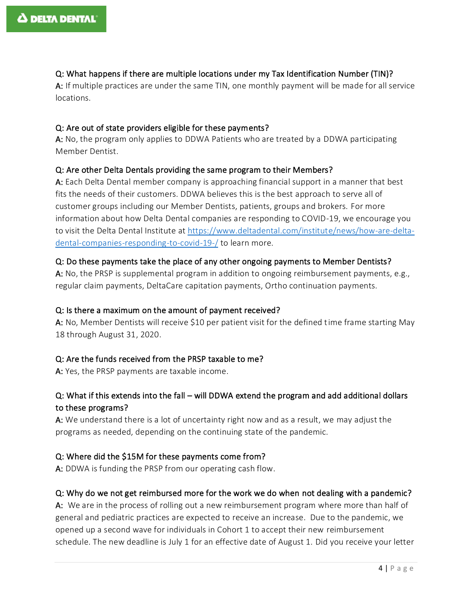#### Q: What happens if there are multiple locations under my Tax Identification Number (TIN)?

A: If multiple practices are under the same TIN, one monthly payment will be made for all service locations.

#### Q: Are out of state providers eligible for these payments?

A: No, the program only applies to DDWA Patients who are treated by a DDWA participating Member Dentist.

#### Q: Are other Delta Dentals providing the same program to their Members?

A: Each Delta Dental member company is approaching financial support in a manner that best fits the needs of their customers. DDWA believes this is the best approach to serve all of customer groups including our Member Dentists, patients, groups and brokers. For more information about how Delta Dental companies are responding to COVID-19, we encourage you to visit the Delta Dental Institute at [https://www.deltadental.com/institute/news/how-are-delta](https://www.deltadental.com/institute/news/how-are-delta-dental-companies-responding-to-covid-19-/)[dental-companies-responding-to-covid-19-/](https://www.deltadental.com/institute/news/how-are-delta-dental-companies-responding-to-covid-19-/) to learn more.

#### Q: Do these payments take the place of any other ongoing payments to Member Dentists?

A: No, the PRSP is supplemental program in addition to ongoing reimbursement payments, e.g., regular claim payments, DeltaCare capitation payments, Ortho continuation payments.

#### Q: Is there a maximum on the amount of payment received?

A: No, Member Dentists will receive \$10 per patient visit for the defined time frame starting May 18 through August 31, 2020.

#### Q: Are the funds received from the PRSP taxable to me?

A: Yes, the PRSP payments are taxable income.

#### Q: What if this extends into the fall – will DDWA extend the program and add additional dollars to these programs?

A: We understand there is a lot of uncertainty right now and as a result, we may adjust the programs as needed, depending on the continuing state of the pandemic.

#### Q: Where did the \$15M for these payments come from?

A: DDWA is funding the PRSP from our operating cash flow.

#### Q: Why do we not get reimbursed more for the work we do when not dealing with a pandemic?

A: We are in the process of rolling out a new reimbursement program where more than half of general and pediatric practices are expected to receive an increase. Due to the pandemic, we opened up a second wave for individuals in Cohort 1 to accept their new reimbursement schedule. The new deadline is July 1 for an effective date of August 1. Did you receive your letter